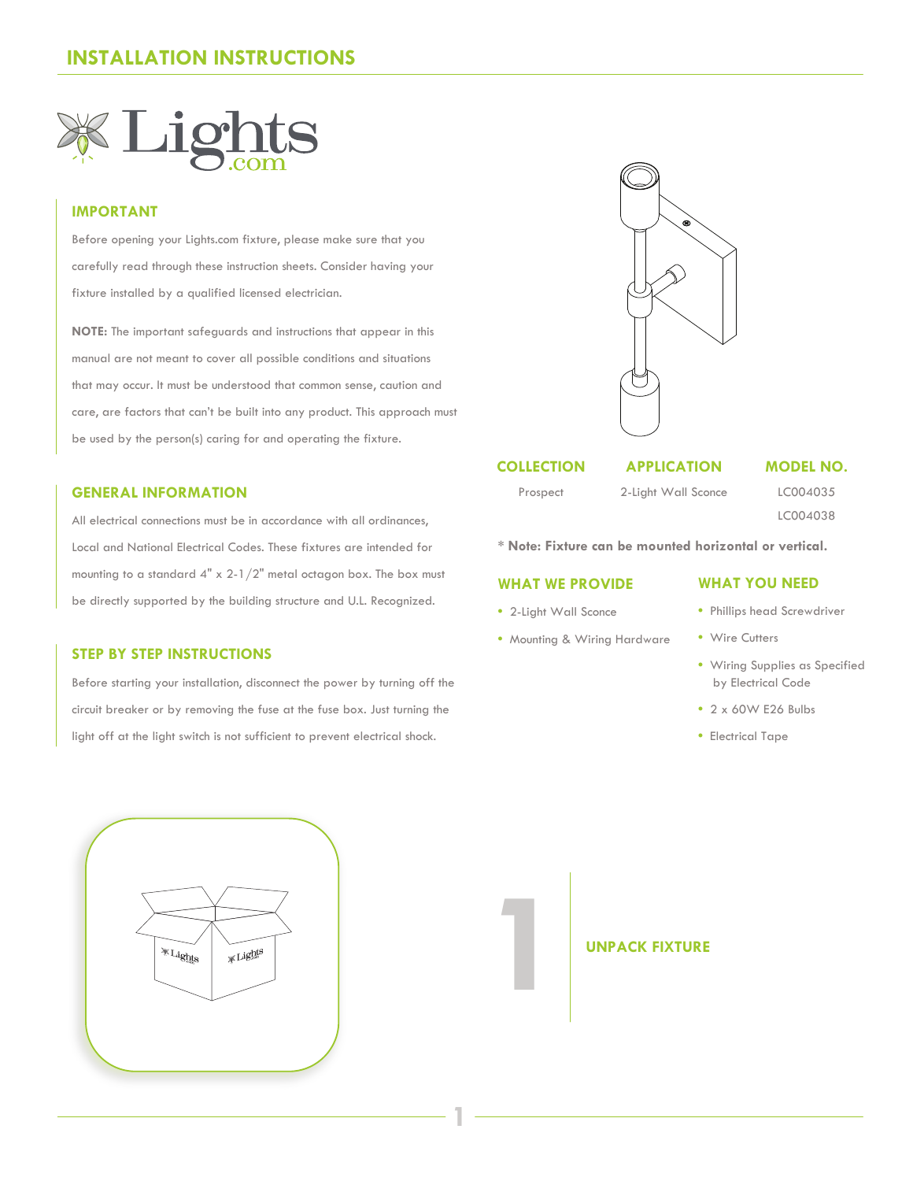

# **IMPORTANT**

Before opening your Lights.com fixture, please make sure that you carefully read through these instruction sheets. Consider having your fixture installed by a qualified licensed electrician.

**NOTE:** The important safeguards and instructions that appear in this manual are not meant to cover all possible conditions and situations that may occur. It must be understood that common sense, caution and care, are factors that can't be built into any product. This approach must be used by the person(s) caring for and operating the fixture.

# **GENERAL INFORMATION**

All electrical connections must be in accordance with all ordinances, Local and National Electrical Codes. These fixtures are intended for mounting to a standard 4" x 2-1/2" metal octagon box. The box must be directly supported by the building structure and U.L. Recognized.

# **STEP BY STEP INSTRUCTIONS**

Before starting your installation, disconnect the power by turning off the circuit breaker or by removing the fuse at the fuse box. Just turning the light off at the light switch is not sufficient to prevent electrical shock.



# **COLLECTION**

# **APPLICATION**

Prospect

2-Light Wall Sconce

LC004035 LC004038

**MODEL NO.**

**\* Note: Fixture can be mounted horizontal or vertical.**

## **WHAT WE PROVIDE**

**•** 2-Light Wall Sconce

**1**

**•** Mounting & Wiring Hardware

# **WHAT YOU NEED**

- Phillips head Screwdriver
- Wire Cutters
- Wiring Supplies as Specified by Electrical Code
- 2 x 60W E26 Bulbs
- Electrical Tape



**1** UNPACK FIXTURE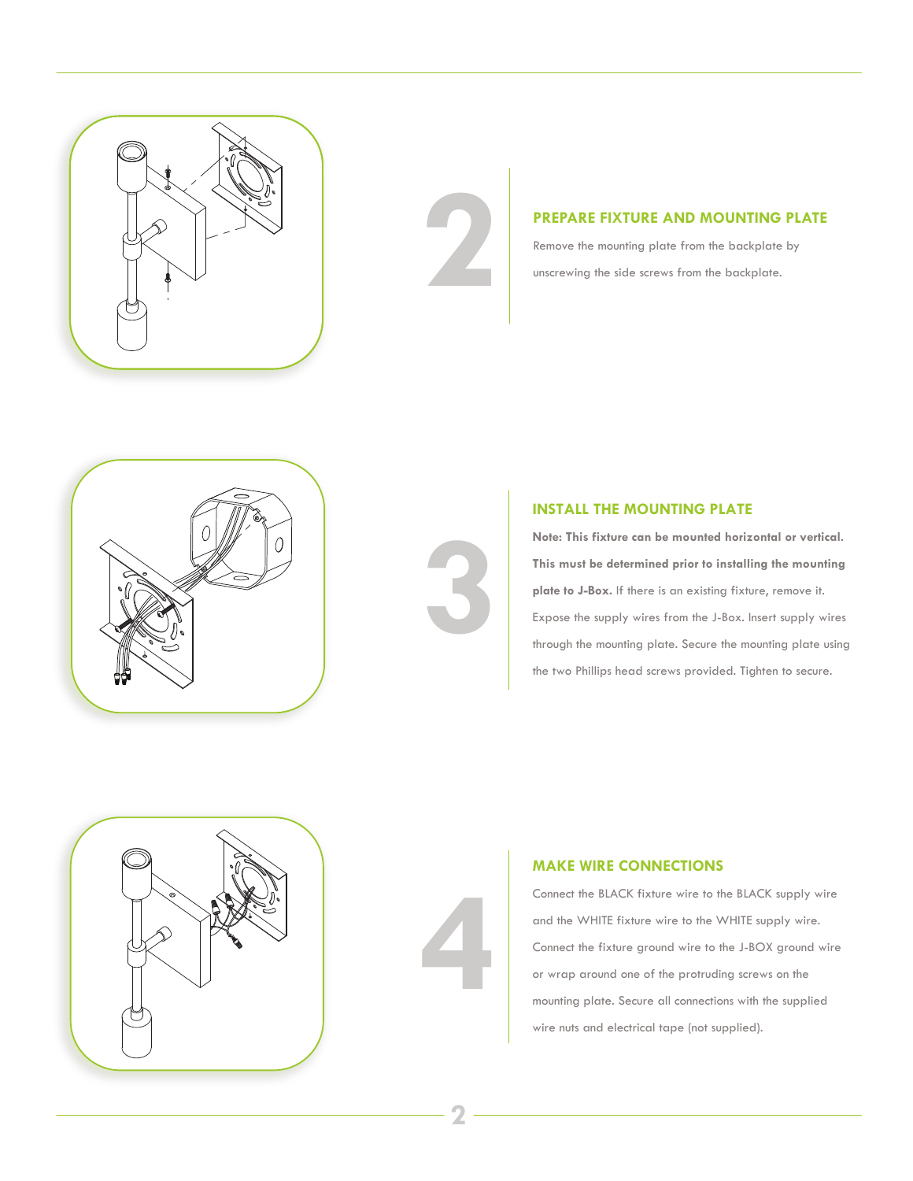

**PREPARE FIXTURE AND MOUNTING PLATE**<br>Remove the mounting plate from the backplate by<br>unscrewing the side screws from the backplate. Remove the mounting plate from the backplate by unscrewing the side screws from the backplate.





# **INSTALL THE MOUNTING PLATE**

**Note: This fixture can be mounted horizontal or vertical. This must be determined prior to installing the mounting plate to J-Box.** If there is an existing fixture, remove it. Expose the supply wires from the J-Box. Insert supply wires through the mounting plate. Secure the mounting plate using the two Phillips head screws provided. Tighten to secure.



# **4**

# **MAKE WIRE CONNECTIONS**

Connect the BLACK fixture wire to the BLACK supply wire and the WHITE fixture wire to the WHITE supply wire. Connect the fixture ground wire to the J-BOX ground wire or wrap around one of the protruding screws on the mounting plate. Secure all connections with the supplied wire nuts and electrical tape (not supplied).